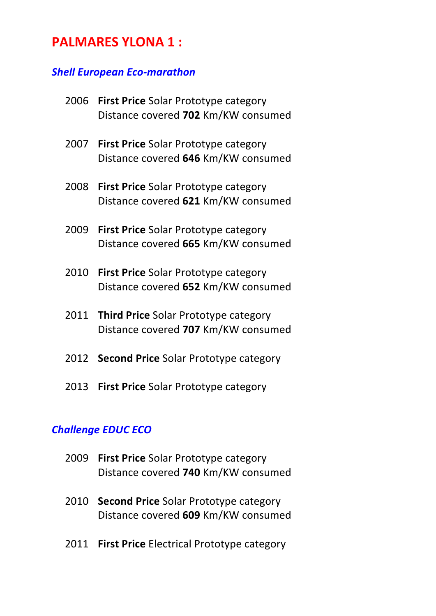# **PALMARES YLONA 1:**

#### *Shell European Eco-marathon*

| 2006 | <b>First Price Solar Prototype category</b><br>Distance covered 702 Km/KW consumed |
|------|------------------------------------------------------------------------------------|
| 2007 | <b>First Price Solar Prototype category</b><br>Distance covered 646 Km/KW consumed |
| 2008 | <b>First Price Solar Prototype category</b><br>Distance covered 621 Km/KW consumed |
| 2009 | <b>First Price Solar Prototype category</b><br>Distance covered 665 Km/KW consumed |
| 2010 | First Price Solar Prototype category<br>Distance covered 652 Km/KW consumed        |
|      | 2011 Third Price Solar Prototype category<br>Distance covered 707 Km/KW consumed   |

- 2012 **Second Price** Solar Prototype category
- 2013 **First Price** Solar Prototype category

# *Challenge EDUC ECO*

- 2009 **First Price** Solar Prototype category Distance covered 740 Km/KW consumed
- 2010 **Second Price** Solar Prototype category Distance covered 609 Km/KW consumed
- 2011 **First Price** Electrical Prototype category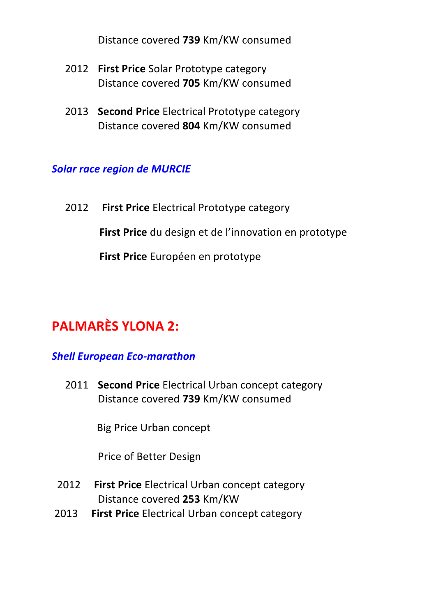Distance covered **739** Km/KW consumed

- 2012 **First Price** Solar Prototype category Distance covered **705** Km/KW consumed
- **2013 Second Price** Electrical Prototype category Distance covered **804** Km/KW consumed

# **Solar race region de MURCIE**

2012 **First Price** Electrical Prototype category **First Price** du design et de l'innovation en prototype **First Price** Européen en prototype

# **PALMARÈS YLONA 2:**

# *Shell European Eco-marathon*

**2011 Second Price** Electrical Urban concept category Distance covered **739** Km/KW consumed

**Big Price Urban concept** 

Price of Better Design

- **2012** First Price Electrical Urban concept category Distance covered **253** Km/KW
- 2013 **First Price** Electrical Urban concept category